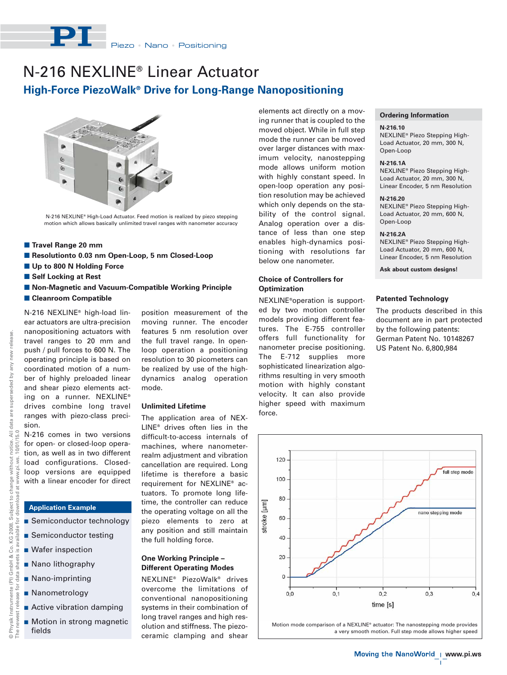

## **High-Force PiezoWalk® Drive for Long-Range Nanopositioning** N-216 NEXLINE® Linear Actuator



N-216 NEXLINE® High-Load Actuator. Feed motion is realized by piezo stepping motion which allows basically unlimited travel ranges with nanometer accuracy

- **E** Travel Range 20 mm
- Resolutionto 0.03 nm Open-Loop, 5 nm Closed-Loop
- **Up to 800 N Holding Force**
- **E** Self Locking at Rest
- $\blacksquare$  **Non-Magnetic and Vacuum-Compatible Working Principle**
- **E Cleanroom Compatible**

eq.

N-216 NEXLINE® high-load linear actuators are ultra-precision nanopositioning actuators with travel ranges to 20 mm and push / pull forces to 600 N. The operating principle is based on coordinated motion of a number of highly preloaded linear and shear piezo elements acting on a runner. NEXLINE® drives combine long travel ranges with piezo-class precision.

N-216 comes in two versions for open- or closed-loop operation, as well as in two different load configurations. Closedloop versions are equipped with a linear encoder for direct

## **Application Example**

- **Semiconductor technology**
- **B** Semiconductor testing
- **Nafer inspection**
- Nano lithography
- Nano-imprinting
- **Nanometrology**
- **Active vibration damping**
- Motion in strong magnetic fields

position measurement of the moving runner. The encoder features 5 nm resolution over the full travel range. In openloop operation a positioning resolution to 30 picometers can be realized by use of the highdynamics analog operation mode.

## **Unlimited Lifetime**

The application area of NEX-LINE® drives often lies in the difficult-to-access internals of machines, where nanometerrealm adjustment and vibration cancellation are required. Long lifetime is therefore a basic requirement for NEXLINE® actuators. To promote long lifetime, the controller can reduce the operating voltage on all the piezo elements to zero at any position and still maintain the full holding force.

### **One Working Principle – Different Operating Modes**

NEXLINE® PiezoWalk® drives overcome the limitations of conventional nanopositioning systems in their combination of long travel ranges and high resolution and stiffness. The piezoceramic clamping and shear elements act directly on a moving runner that is coupled to the moved object. While in full step mode the runner can be moved over larger distances with maximum velocity, nanostepping mode allows uniform motion with highly constant speed. In open-loop operation any position resolution may be achieved which only depends on the stability of the control signal. Analog operation over a distance of less than one step enables high-dynamics positioning with resolutions far below one nanometer.

## **Choice of Controllers for Optimization**

NEXLINE®operation is supported by two motion controller models providing different features. The E-755 controller offers full functionality for nanometer precise positioning. The E-712 supplies more sophisticated linearization algorithms resulting in very smooth motion with highly constant velocity. It can also provide higher speed with maximum force.

#### **Ordering Information**

#### **N-216.10**

NEXLINE® Piezo Stepping High-Load Actuator, 20 mm, 300 N, Open-Loop

#### **N-216.1A**

NEXLINE® Piezo Stepping High-Load Actuator, 20 mm, 300 N, Linear Encoder, 5 nm Resolution

#### **N-216.20**

NEXLINE® Piezo Stepping High-Load Actuator, 20 mm, 600 N, Open-Loop

## **N-216.2A**

NEXLINE® Piezo Stepping High-Load Actuator, 20 mm, 600 N, Linear Encoder, 5 nm Resolution

**Ask about custom designs!**

## **Patented Technology**

The products described in this document are in part protected by the following patents: German Patent No. 10148267 US Patent No. 6,800,984



Motion mode comparison of a NEXLINE® actuator: The nanostepping mode provides a very smooth motion. Full step mode allows higher speed

 $\mathbf{L}$